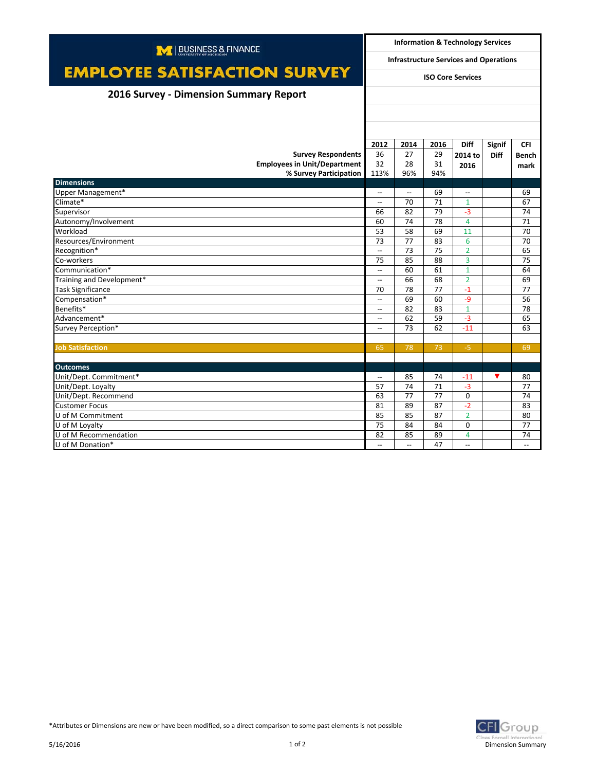| M   BUSINESS & FINANCE                 |                                                                           | <b>Information &amp; Technology Services</b> |      |                |               |                          |  |
|----------------------------------------|---------------------------------------------------------------------------|----------------------------------------------|------|----------------|---------------|--------------------------|--|
|                                        | <b>Infrastructure Services and Operations</b><br><b>ISO Core Services</b> |                                              |      |                |               |                          |  |
| <b>EMPLOYEE SATISFACTION SURVEY</b>    |                                                                           |                                              |      |                |               |                          |  |
| 2016 Survey - Dimension Summary Report |                                                                           |                                              |      |                |               |                          |  |
|                                        |                                                                           |                                              |      |                |               |                          |  |
|                                        |                                                                           |                                              |      |                |               |                          |  |
|                                        |                                                                           |                                              |      |                |               |                          |  |
|                                        | 2012                                                                      | 2014                                         | 2016 | <b>Diff</b>    | <b>Signif</b> | <b>CFI</b>               |  |
| <b>Survey Respondents</b>              | 36                                                                        | 27                                           | 29   | 2014 to        | <b>Diff</b>   | <b>Bench</b>             |  |
| <b>Employees in Unit/Department</b>    | 32                                                                        | 28                                           | 31   | 2016           |               | mark                     |  |
| % Survey Participation                 | 113%                                                                      | 96%                                          | 94%  |                |               |                          |  |
| <b>Dimensions</b>                      |                                                                           |                                              |      |                |               |                          |  |
| Upper Management*                      | $\overline{\phantom{a}}$                                                  | $\overline{\phantom{a}}$                     | 69   | $\sim$         |               | 69                       |  |
| Climate*                               | $\overline{\phantom{a}}$                                                  | 70                                           | 71   | $\mathbf{1}$   |               | 67                       |  |
| Supervisor                             | 66                                                                        | 82                                           | 79   | $-3$           |               | 74                       |  |
| Autonomy/Involvement                   | 60                                                                        | 74                                           | 78   | $\overline{4}$ |               | 71                       |  |
| Workload                               | 53                                                                        | 58                                           | 69   | 11             |               | 70                       |  |
| Resources/Environment                  | 73                                                                        | 77                                           | 83   | 6              |               | 70                       |  |
| Recognition*                           | <u></u>                                                                   | 73                                           | 75   | $\overline{2}$ |               | 65                       |  |
| Co-workers                             | 75                                                                        | 85                                           | 88   | 3              |               | 75                       |  |
| Communication*                         | $\hspace{0.05cm} -\hspace{0.05cm} -\hspace{0.05cm}$                       | 60                                           | 61   | $\mathbf{1}$   |               | 64                       |  |
| Training and Development*              | $\hspace{0.05cm} \ldots$                                                  | 66                                           | 68   | $\overline{2}$ |               | 69                       |  |
| <b>Task Significance</b>               | 70                                                                        | 78                                           | 77   | $-1$           |               | 77                       |  |
| Compensation*                          | $\overline{\phantom{a}}$                                                  | 69                                           | 60   | $-9$           |               | 56                       |  |
| Benefits*                              | $\overline{\phantom{a}}$                                                  | 82                                           | 83   | $\mathbf{1}$   |               | 78                       |  |
| Advancement*                           | $-$                                                                       | 62                                           | 59   | $-3$           |               | 65                       |  |
| Survey Perception*                     | $\overline{a}$                                                            | 73                                           | 62   | $-11$          |               | 63                       |  |
|                                        |                                                                           |                                              |      |                |               |                          |  |
| <b>Job Satisfaction</b>                | 65                                                                        | 78                                           | 73   | $-5$           |               | 69                       |  |
|                                        |                                                                           |                                              |      |                |               |                          |  |
| <b>Outcomes</b>                        |                                                                           |                                              |      |                |               |                          |  |
| Unit/Dept. Commitment*                 | $\overline{\phantom{a}}$                                                  | 85                                           | 74   | $-11$          | ▼             | 80                       |  |
| Unit/Dept. Loyalty                     | 57                                                                        | 74                                           | 71   | $-3$           |               | 77                       |  |
| Unit/Dept. Recommend                   | 63                                                                        | 77                                           | 77   | $\mathbf 0$    |               | 74                       |  |
| <b>Customer Focus</b>                  | 81                                                                        | 89                                           | 87   | $-2$           |               | 83                       |  |
| U of M Commitment                      | 85                                                                        | 85                                           | 87   | $\overline{2}$ |               | 80                       |  |
| U of M Loyalty                         | 75                                                                        | 84                                           | 84   | $\mathbf 0$    |               | 77                       |  |
| U of M Recommendation                  | 82                                                                        | 85                                           | 89   | 4              |               | 74                       |  |
| U of M Donation*                       | $\overline{\phantom{a}}$                                                  | $\overline{\phantom{a}}$                     | 47   | $-$            |               | $\overline{\phantom{a}}$ |  |